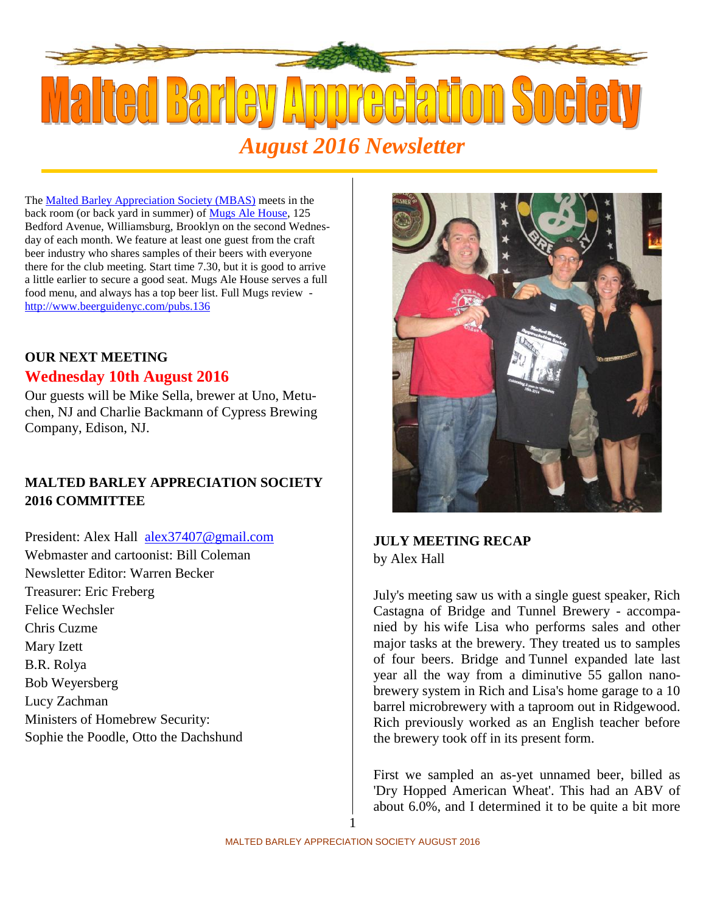

The Malted Barley Appreciation Society (MBAS) meets in the back room (or back yard in summer) of Mugs Ale House, 125 Bedford Avenue, Williamsburg, Brooklyn on the second Wednesday of each month. We feature at least one guest from the craft beer industry who shares samples of their beers with everyone there for the club meeting. Start time 7.30, but it is good to arrive a little earlier to secure a good seat. Mugs Ale House serves a full food menu, and always has a top beer list. Full Mugs review http://www.beerguidenyc.com/pubs.136

# **OUR NEXT MEETING**

## **Wednesday 10th August 2016**

Our guests will be Mike Sella, brewer at Uno, Metuchen, NJ and Charlie Backmann of Cypress Brewing Company, Edison, NJ.

# **MALTED BARLEY APPRECIATION SOCIETY 2016 COMMITTEE**

President: Alex Hall alex37407@gmail.com Webmaster and cartoonist: Bill Coleman Newsletter Editor: Warren Becker Treasurer: Eric Freberg Felice Wechsler Chris Cuzme Mary Izett B.R. Rolya Bob Weyersberg Lucy Zachman Ministers of Homebrew Security: Sophie the Poodle, Otto the Dachshund



## **JULY MEETING RECAP** by Alex Hall

July's meeting saw us with a single guest speaker, Rich Castagna of Bridge and Tunnel Brewery - accompanied by his wife Lisa who performs sales and other major tasks at the brewery. They treated us to samples of four beers. Bridge and Tunnel expanded late last year all the way from a diminutive 55 gallon nanobrewery system in Rich and Lisa's home garage to a 10 barrel microbrewery with a taproom out in Ridgewood. Rich previously worked as an English teacher before the brewery took off in its present form.

First we sampled an as-yet unnamed beer, billed as 'Dry Hopped American Wheat'. This had an ABV of about 6.0%, and I determined it to be quite a bit more

1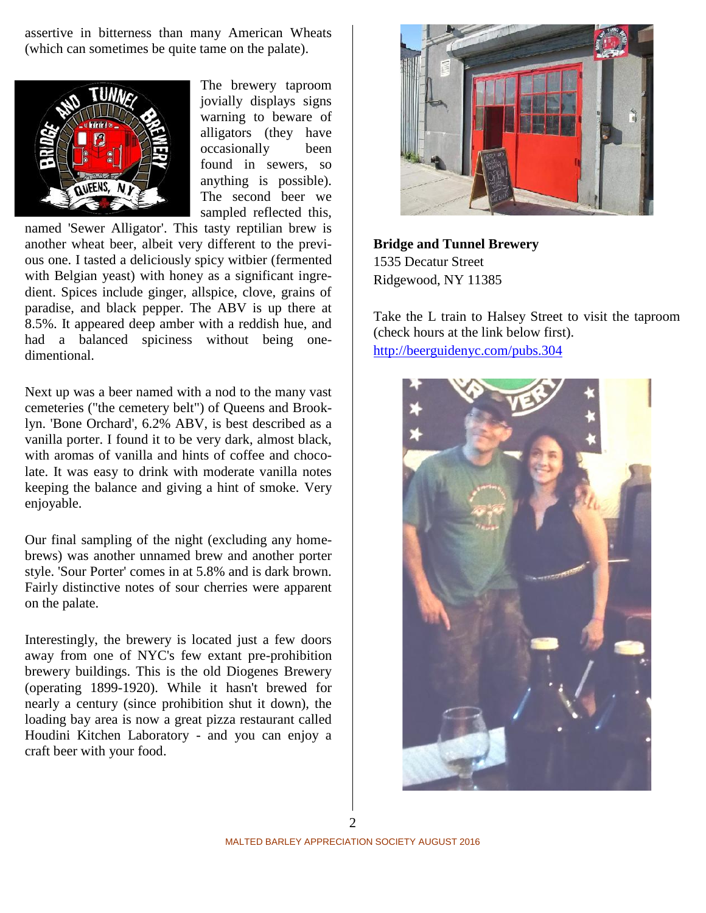assertive in bitterness than many American Wheats (which can sometimes be quite tame on the palate).



The brewery taproom jovially displays signs warning to beware of alligators (they have occasionally been found in sewers, so anything is possible). The second beer we sampled reflected this,

named 'Sewer Alligator'. This tasty reptilian brew is another wheat beer, albeit very different to the previous one. I tasted a deliciously spicy witbier (fermented with Belgian yeast) with honey as a significant ingredient. Spices include ginger, allspice, clove, grains of paradise, and black pepper. The ABV is up there at 8.5%. It appeared deep amber with a reddish hue, and had a balanced spiciness without being one dimentional.

Next up was a beer named with a nod to the many vast cemeteries ("the cemetery belt") of Queens and Brooklyn. 'Bone Orchard', 6.2% ABV, is best described as a vanilla porter. I found it to be very dark, almost black, with aromas of vanilla and hints of coffee and chocolate. It was easy to drink with moderate vanilla notes keeping the balance and giving a hint of smoke. Very enjoyable.

Our final sampling of the night (excluding any homebrews) was another unnamed brew and another porter style. 'Sour Porter' comes in at 5.8% and is dark brown. Fairly distinctive notes of sour cherries were apparent on the palate.

Interestingly, the brewery is located just a few doors away from one of NYC's few extant pre-prohibition brewery buildings. This is the old Diogenes Brewery (operating 1899-1920). While it hasn't brewed for nearly a century (since prohibition shut it down), the loading bay area is now a great pizza restaurant called Houdini Kitchen Laboratory - and you can enjoy a craft beer with your food.



**Bridge and Tunnel Brewery** 1535 Decatur Street Ridgewood, NY 11385

Take the L train to Halsey Street to visit the taproom (check hours at the link below first). http://beerguidenyc.com/pubs.304